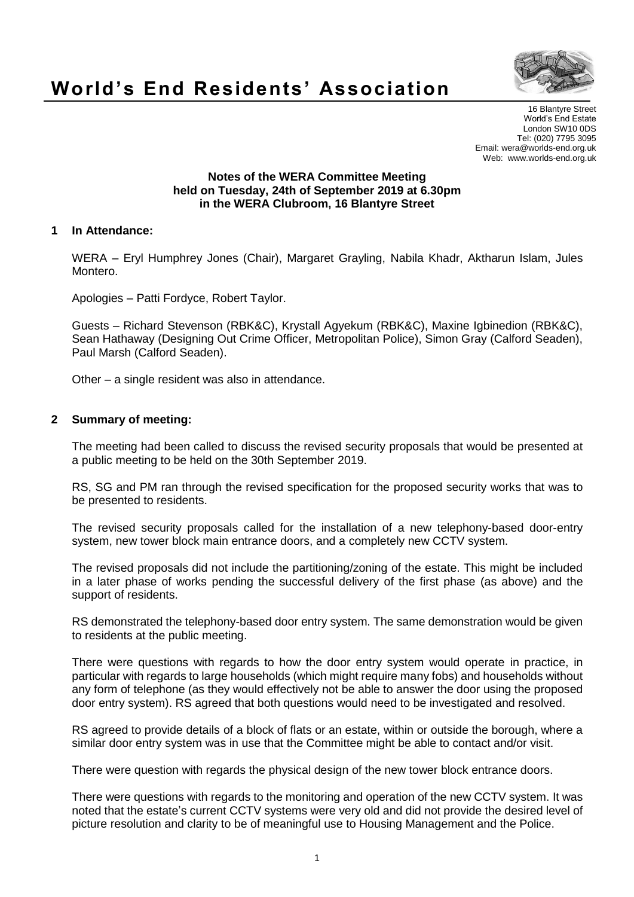

## **World's End Residents' Association**

16 Blantyre Street World's End Estate London SW10 0DS Tel: (020) 7795 3095 Email: wera@worlds-end.org.uk Web: www.worlds-end.org.uk

## **Notes of the WERA Committee Meeting held on Tuesday, 24th of September 2019 at 6.30pm in the WERA Clubroom, 16 Blantyre Street**

## **1 In Attendance:**

WERA – Eryl Humphrey Jones (Chair), Margaret Grayling, Nabila Khadr, Aktharun Islam, Jules Montero.

Apologies – Patti Fordyce, Robert Taylor.

Guests – Richard Stevenson (RBK&C), Krystall Agyekum (RBK&C), Maxine Igbinedion (RBK&C), Sean Hathaway (Designing Out Crime Officer, Metropolitan Police), Simon Gray (Calford Seaden), Paul Marsh (Calford Seaden).

Other – a single resident was also in attendance.

## **2 Summary of meeting:**

The meeting had been called to discuss the revised security proposals that would be presented at a public meeting to be held on the 30th September 2019.

RS, SG and PM ran through the revised specification for the proposed security works that was to be presented to residents.

The revised security proposals called for the installation of a new telephony-based door-entry system, new tower block main entrance doors, and a completely new CCTV system.

The revised proposals did not include the partitioning/zoning of the estate. This might be included in a later phase of works pending the successful delivery of the first phase (as above) and the support of residents.

RS demonstrated the telephony-based door entry system. The same demonstration would be given to residents at the public meeting.

There were questions with regards to how the door entry system would operate in practice, in particular with regards to large households (which might require many fobs) and households without any form of telephone (as they would effectively not be able to answer the door using the proposed door entry system). RS agreed that both questions would need to be investigated and resolved.

RS agreed to provide details of a block of flats or an estate, within or outside the borough, where a similar door entry system was in use that the Committee might be able to contact and/or visit.

There were question with regards the physical design of the new tower block entrance doors.

There were questions with regards to the monitoring and operation of the new CCTV system. It was noted that the estate's current CCTV systems were very old and did not provide the desired level of picture resolution and clarity to be of meaningful use to Housing Management and the Police.